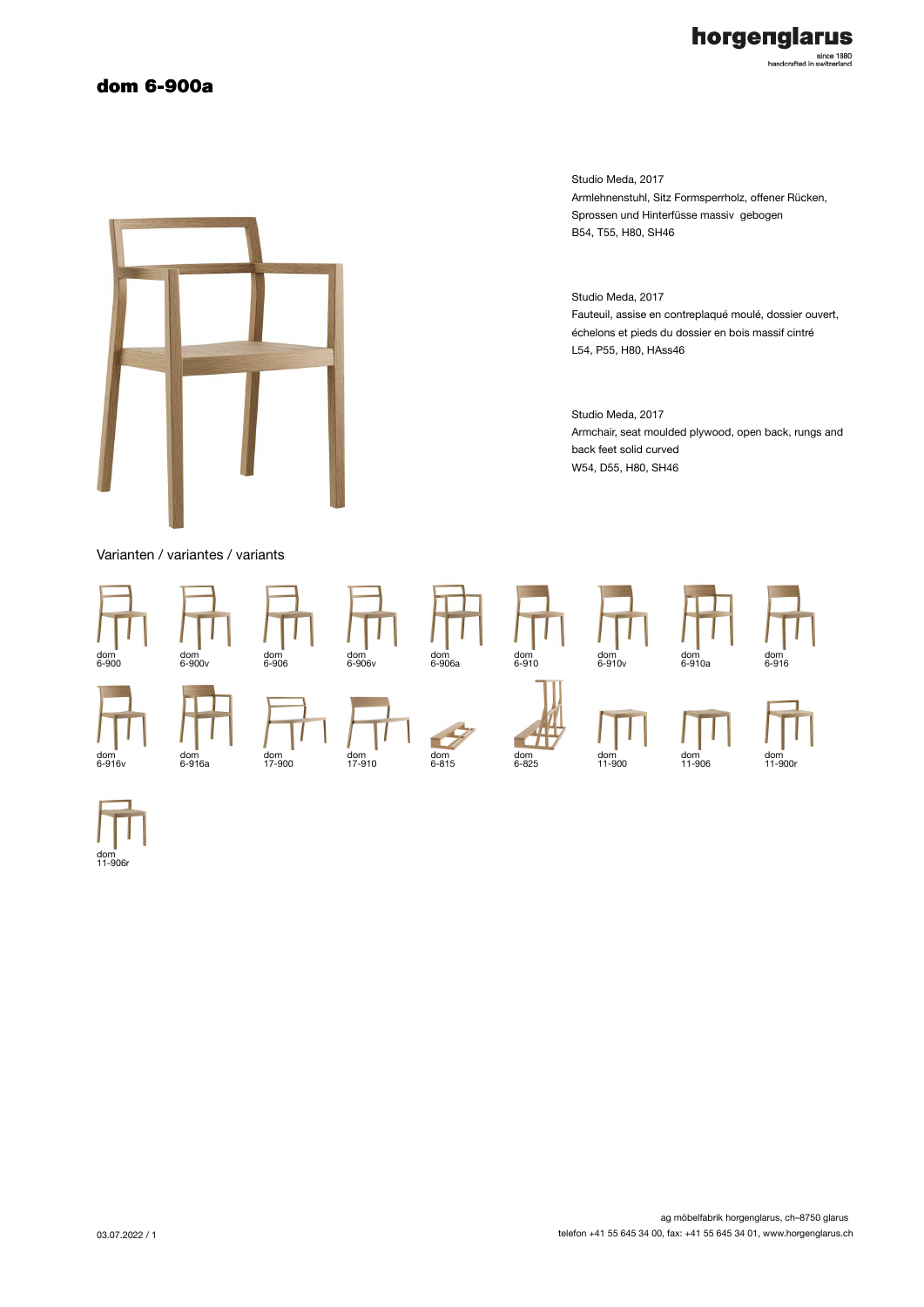### dom 6-900a

horgenglarus since 1880<br>handcrafted in switzerland

Studio Meda, 2017 Armlehnenstuhl, Sitz Formsperrholz, offener Rücken, Sprossen und Hinterfüsse massiv gebogen B54, T55, H80, SH46

Studio Meda, 2017 Fauteuil, assise en contreplaqué moulé, dossier ouvert, échelons et pieds du dossier en bois massif cintré L54, P55, H80, HAss46

Studio Meda, 2017 Armchair, seat moulded plywood, open back, rungs and back feet solid curved W54, D55, H80, SH46





ag möbelfabrik horgenglarus, ch–8750 glarus

telefon +41 55 645 34 00, fax: +41 55 645 34 01, www.horgenglarus.ch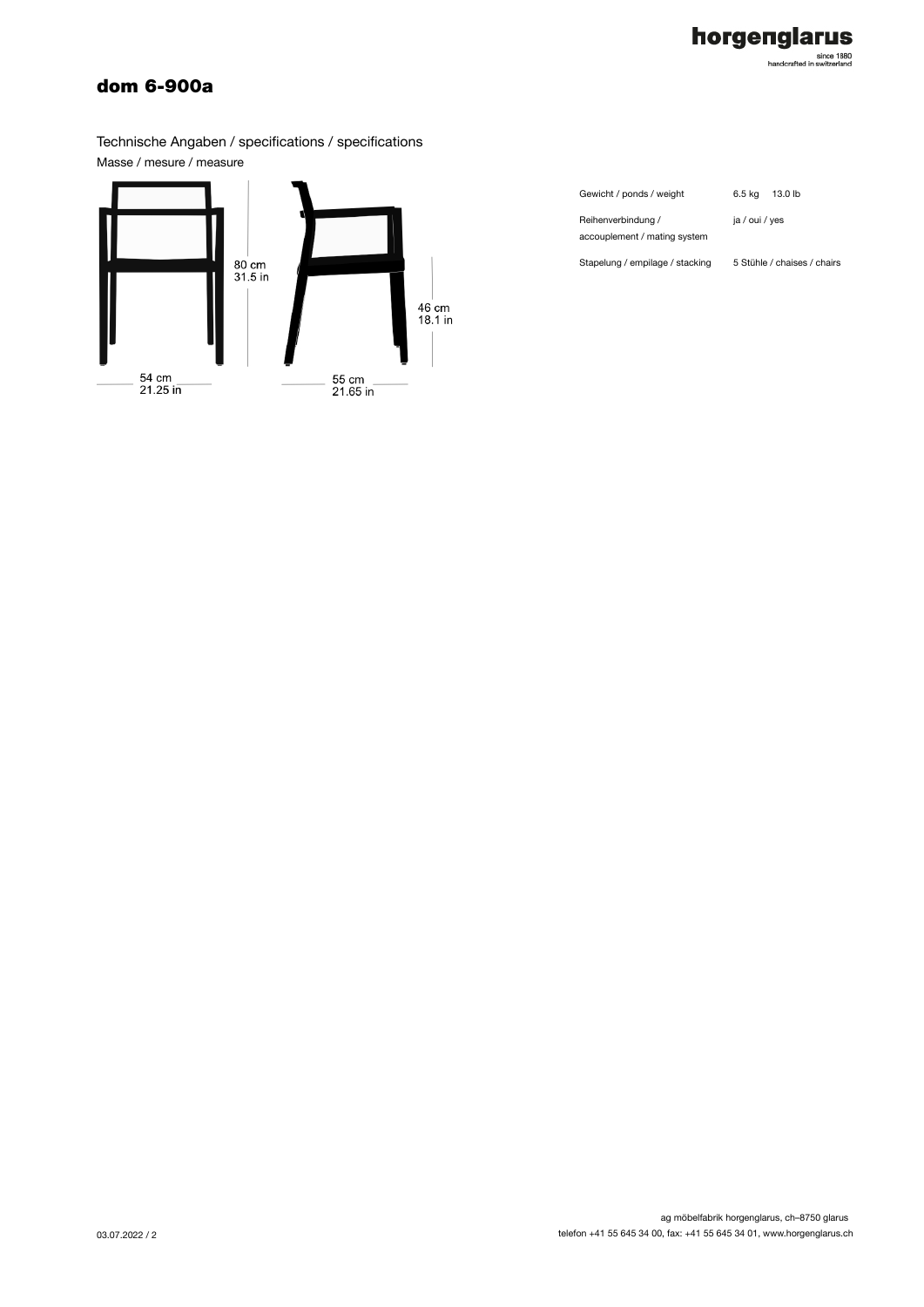# horgenglarus

since 1880<br>handcrafted in switzerland

### dom 6-900a

Technische Angaben / specifications / specifications Masse / mesure / measure



| Gewicht / ponds / weight                           | 6.5 ka<br>13.0 lb           |
|----------------------------------------------------|-----------------------------|
| Reihenverbindung /<br>accouplement / mating system | ja / oui / yes              |
| Stapelung / empilage / stacking                    | 5 Stühle / chaises / chairs |